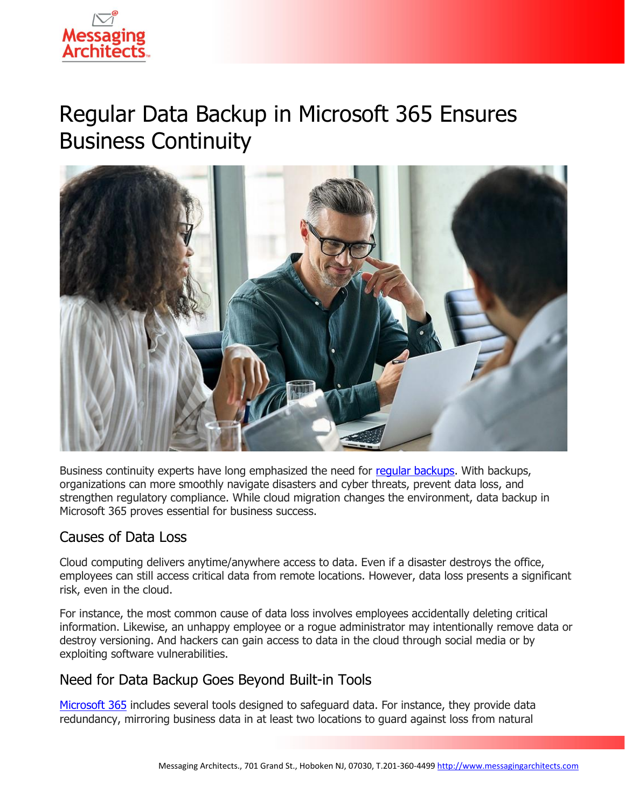

# Regular Data Backup in Microsoft 365 Ensures Business Continuity



Business continuity experts have long emphasized the need for [regular backups.](https://messagingarchitects.com/data-backup-best-practices/) With backups, organizations can more smoothly navigate disasters and cyber threats, prevent data loss, and strengthen regulatory compliance. While cloud migration changes the environment, data backup in Microsoft 365 proves essential for business success.

#### Causes of Data Loss

Cloud computing delivers anytime/anywhere access to data. Even if a disaster destroys the office, employees can still access critical data from remote locations. However, data loss presents a significant risk, even in the cloud.

For instance, the most common cause of data loss involves employees accidentally deleting critical information. Likewise, an unhappy employee or a rogue administrator may intentionally remove data or destroy versioning. And hackers can gain access to data in the cloud through social media or by exploiting software vulnerabilities.

## Need for Data Backup Goes Beyond Built-in Tools

[Microsoft 365](https://messagingarchitects.com/microsoft-365-records-management/) includes several tools designed to safeguard data. For instance, they provide data redundancy, mirroring business data in at least two locations to guard against loss from natural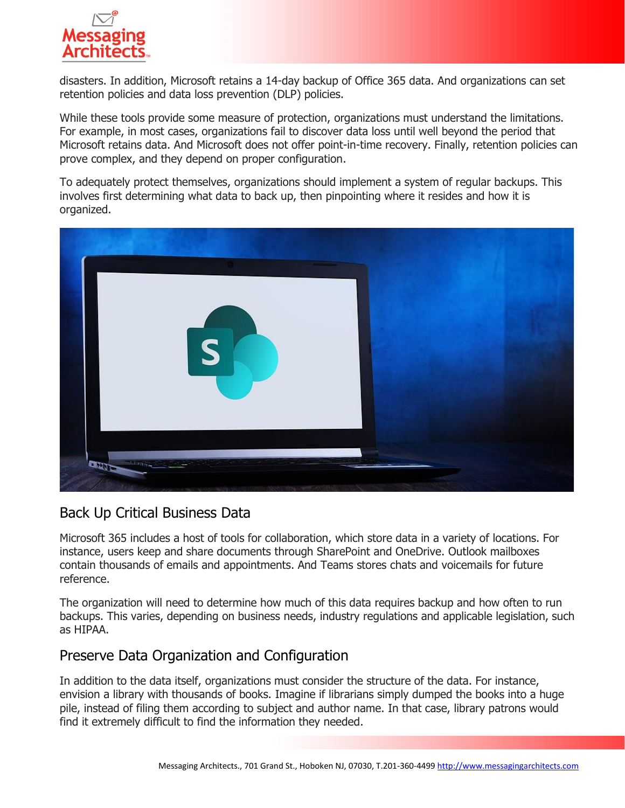

disasters. In addition, Microsoft retains a 14-day backup of Office 365 data. And organizations can set retention policies and data loss prevention (DLP) policies.

While these tools provide some measure of protection, organizations must understand the limitations. For example, in most cases, organizations fail to discover data loss until well beyond the period that Microsoft retains data. And Microsoft does not offer point-in-time recovery. Finally, retention policies can prove complex, and they depend on proper configuration.

To adequately protect themselves, organizations should implement a system of regular backups. This involves first determining what data to back up, then pinpointing where it resides and how it is organized.



#### Back Up Critical Business Data

Microsoft 365 includes a host of tools for collaboration, which store data in a variety of locations. For instance, users keep and share documents through SharePoint and OneDrive. Outlook mailboxes contain thousands of emails and appointments. And Teams stores chats and voicemails for future reference.

The organization will need to determine how much of this data requires backup and how often to run backups. This varies, depending on business needs, industry regulations and applicable legislation, such as HIPAA.

## Preserve Data Organization and Configuration

In addition to the data itself, organizations must consider the structure of the data. For instance, envision a library with thousands of books. Imagine if librarians simply dumped the books into a huge pile, instead of filing them according to subject and author name. In that case, library patrons would find it extremely difficult to find the information they needed.